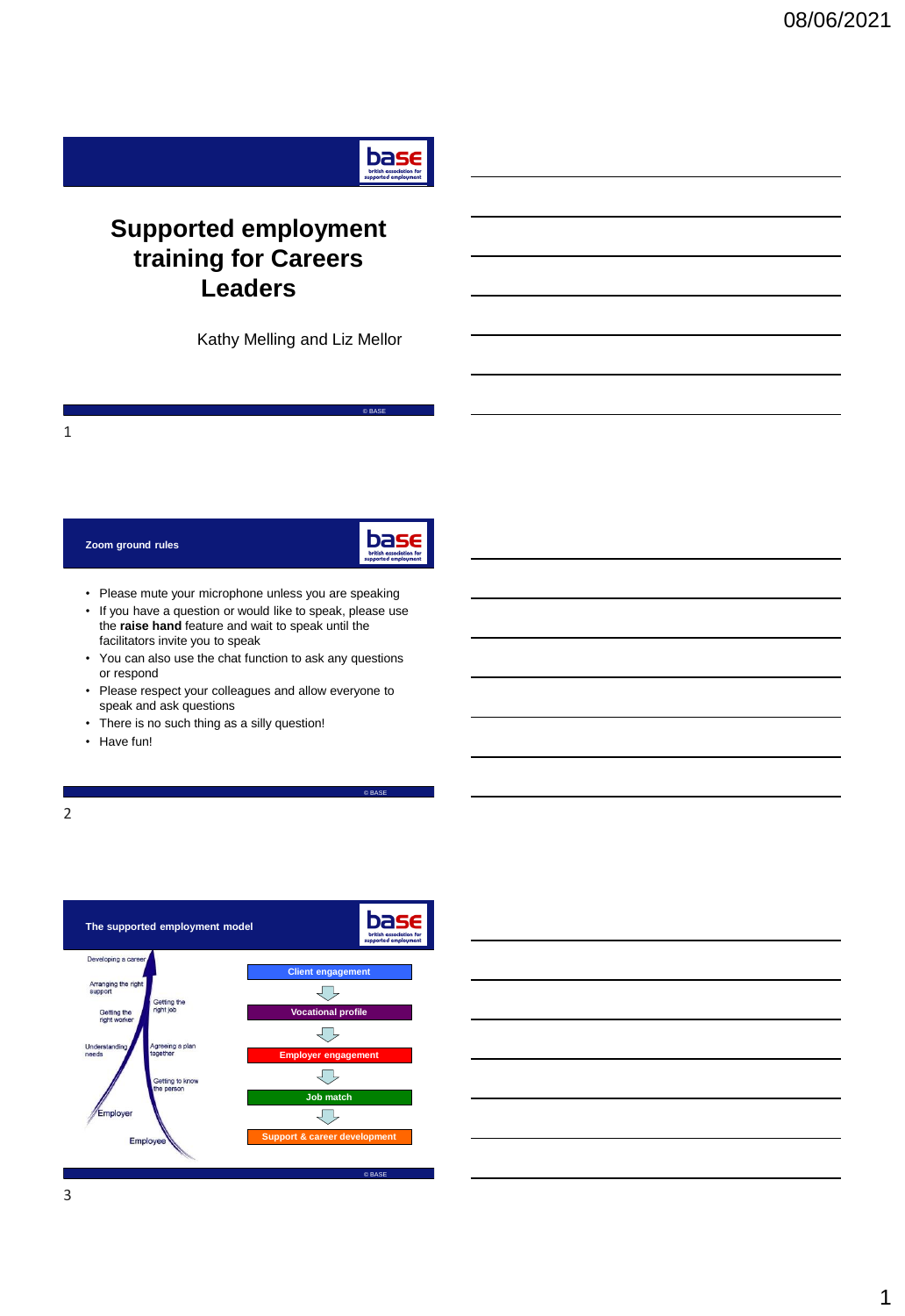

## **Supported employment training for Careers Leaders**

Kathy Melling and Liz Mellor

### **Zoom ground rules**



© BASE

© BASE

- Please mute your microphone unless you are speaking
- If you have a question or would like to speak, please use the **raise hand** feature and wait to speak until the facilitators invite you to speak
- You can also use the chat function to ask any questions or respond
- Please respect your colleagues and allow everyone to speak and ask questions
- There is no such thing as a silly question!
- Have fun!



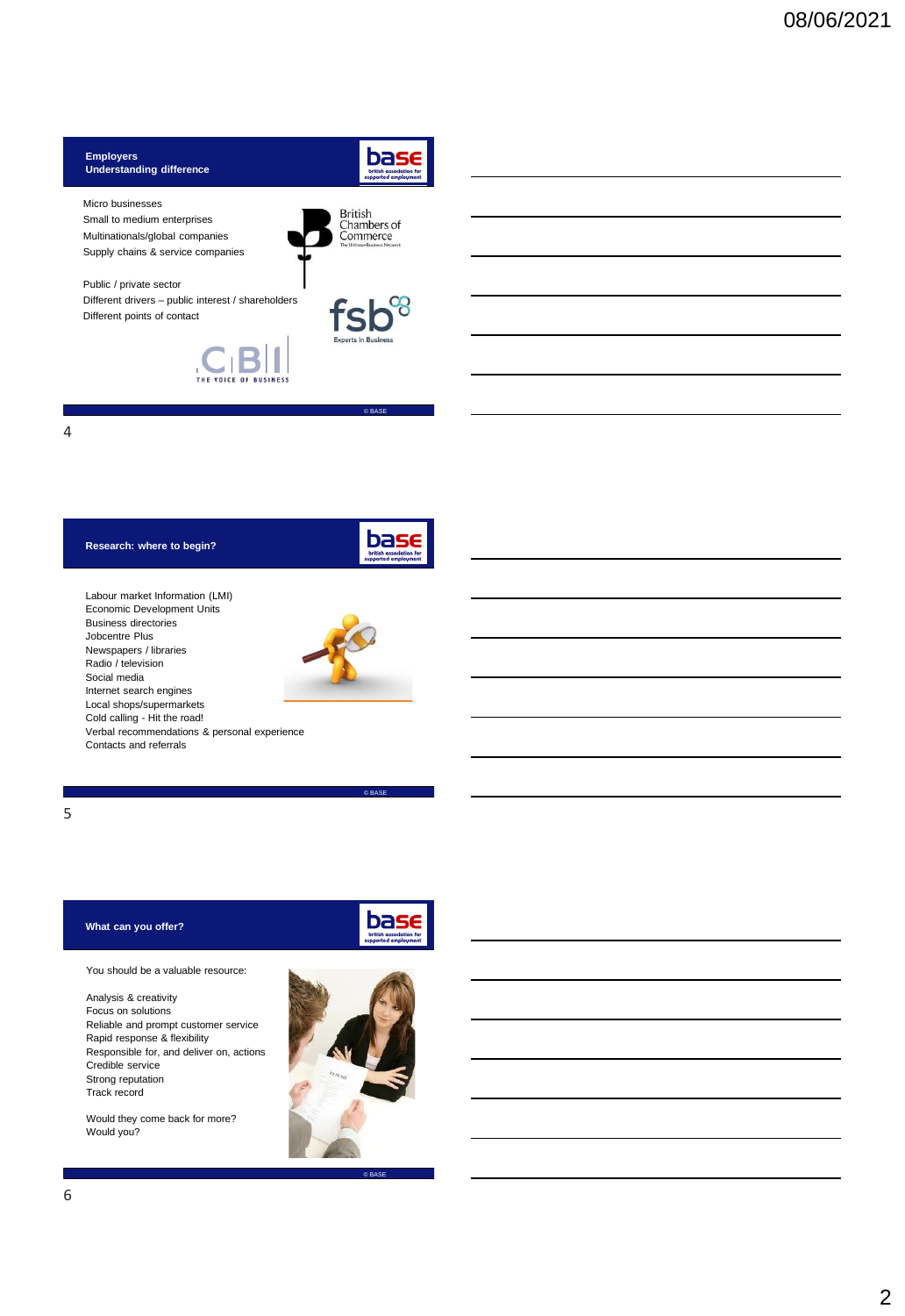

4

## **Research: where to begin?**



Labour market Information (LMI) Economic Development Units Business directories Jobcentre Plus Newspapers / libraries Radio / television Social media Internet search engines Local shops/supermarkets Cold calling - Hit the road! Verbal recommendations & personal experience Contacts and referrals



5

## **What can you offer?**

You should be a valuable resource:

Analysis & creativity Focus on solutions Reliable and prompt customer service Rapid response & flexibility Responsible for, and deliver on, actions Credible service Strong reputation Track record

Would they come back for more? Would you?



© BASE



© BASE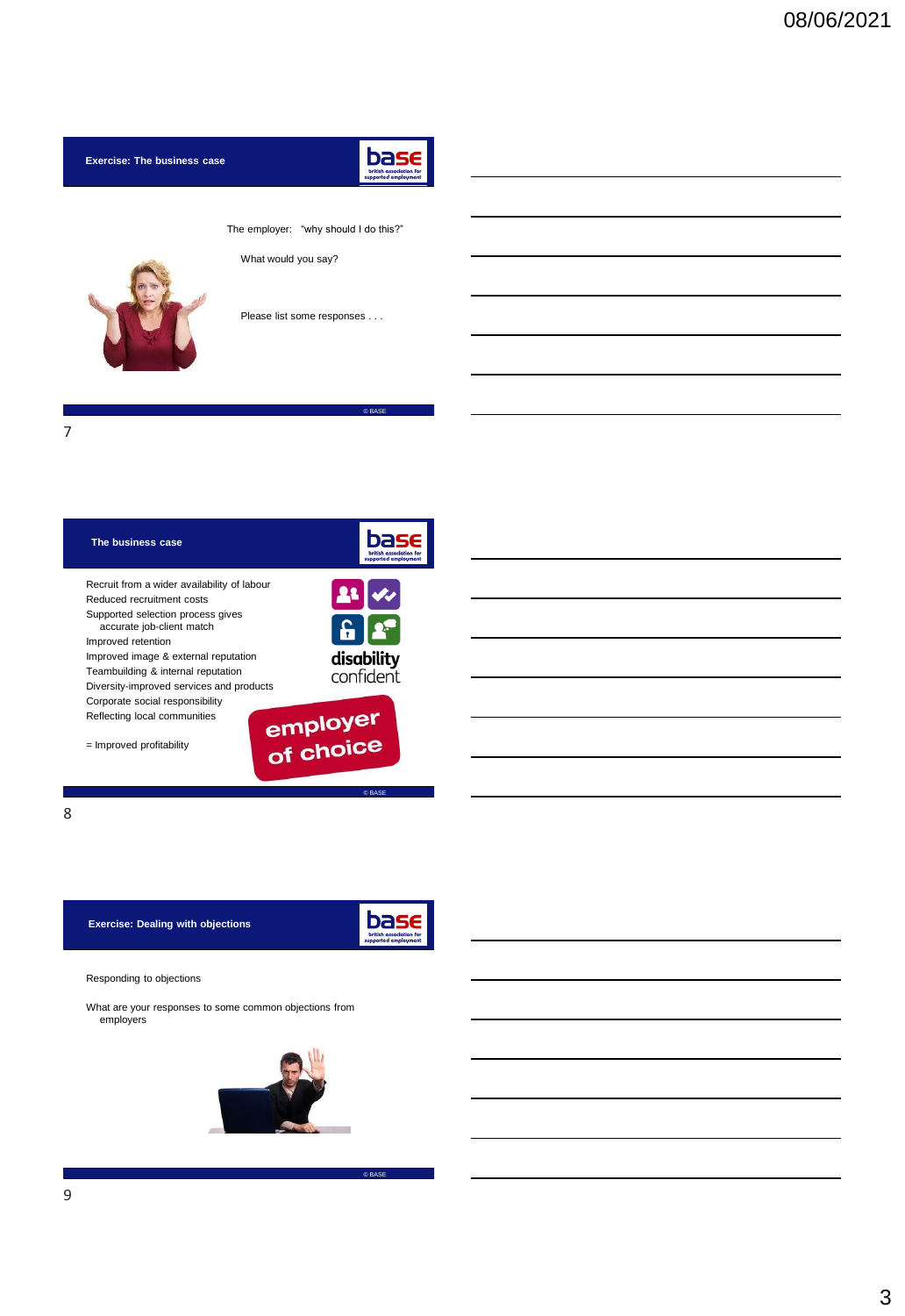**Exercise: The business case** 



© BASE

The employer: "why should I do this?"

What would you say?



Please list some responses . . .

7

| The business case                                              | supported employment  |
|----------------------------------------------------------------|-----------------------|
| Recruit from a wider availability of labour                    |                       |
| Reduced recruitment costs                                      |                       |
| Supported selection process gives<br>accurate job-client match |                       |
| Improved retention                                             |                       |
| Improved image & external reputation                           | disability            |
| Teambuilding & internal reputation                             | confident             |
| Diversity-improved services and products                       |                       |
| Corporate social responsibility                                |                       |
| Reflecting local communities                                   | employer<br>of choice |
| $=$ Improved profitability                                     |                       |
|                                                                | @ BASE                |

8

**Exercise: Dealing with objections**

**Dasseller**<br> **british association for**<br>
supported employment

© BASE

Responding to objections

What are your responses to some common objections from employers

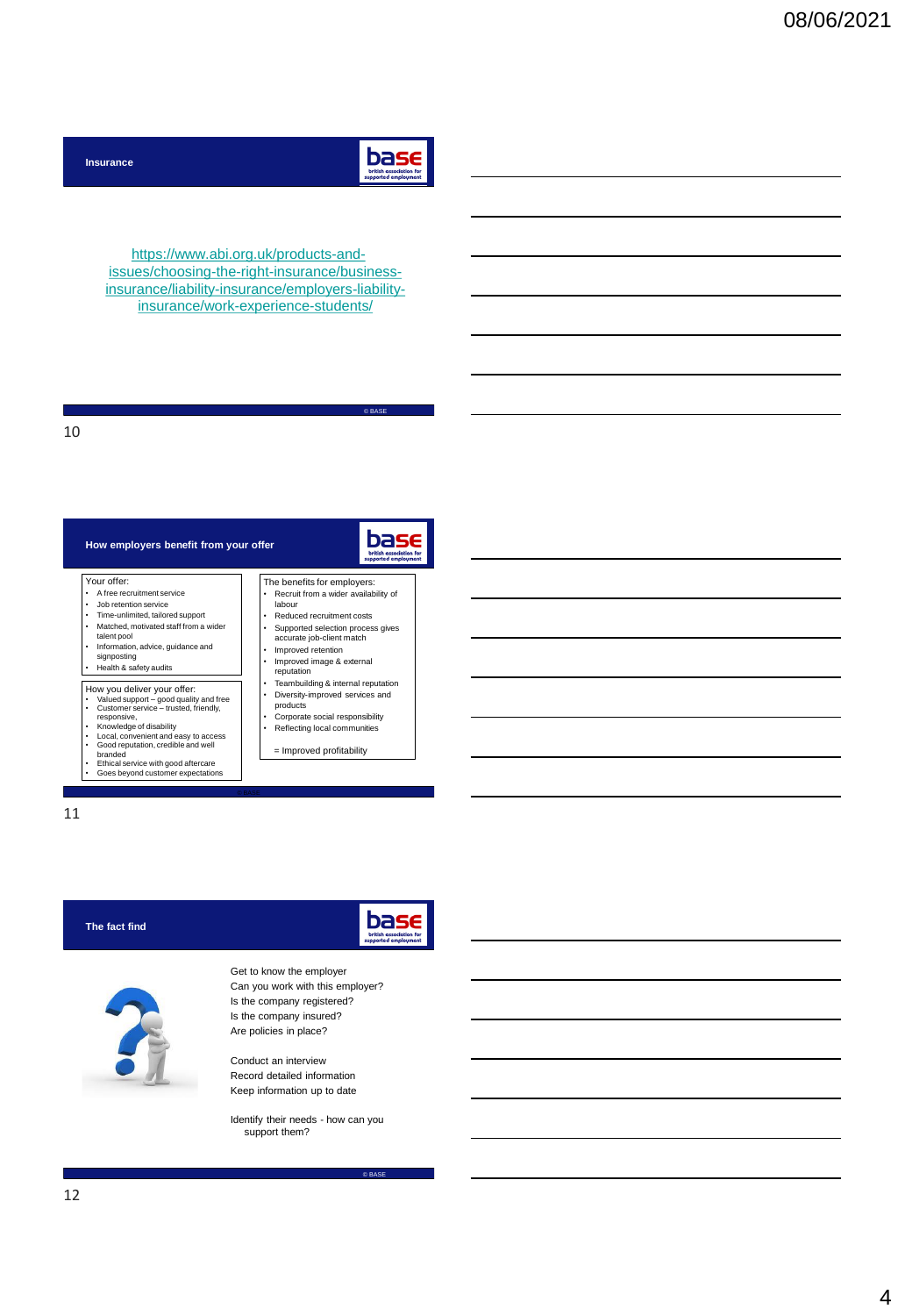

© BASE

base

https://www.abi.org.uk/products-andissues/choosing-the-right-insurance/business[insurance/liability-insurance/employers-liability](https://www.abi.org.uk/products-and-issues/choosing-the-right-insurance/business-insurance/liability-insurance/employers-liability-insurance/work-experience-students/)insurance/work-experience-students/

#### 10

**Insurance**

| How employers benefit from your offer                                                                                                                                                                                                                                                                                                                  | supported amp                                                                                                                                                                                                                                                |
|--------------------------------------------------------------------------------------------------------------------------------------------------------------------------------------------------------------------------------------------------------------------------------------------------------------------------------------------------------|--------------------------------------------------------------------------------------------------------------------------------------------------------------------------------------------------------------------------------------------------------------|
| Your offer:<br>A free recruitment service<br>Job retention service<br>٠<br>Time-unlimited, tailored support<br>٠<br>Matched, motivated staff from a wider<br>$\bullet$<br>talent pool<br>Information, advice, guidance and<br>٠<br>signposting<br>Health & safety audits                                                                               | The benefits for employers:<br>Recruit from a wider availability of<br>labour<br>Reduced recruitment costs<br>٠<br>Supported selection process gives<br>accurate job-client match<br>Improved retention<br>٠<br>Improved image & external<br>٠<br>reputation |
| How you deliver your offer:<br>Valued support - good quality and free<br>Customer service - trusted, friendly,<br>٠<br>responsive.<br>Knowledge of disability<br>٠<br>Local, convenient and easy to access<br>٠<br>Good reputation, credible and well<br>branded<br>Ethical service with good aftercare<br>٠<br>Goes beyond customer expectations<br>٠ | Teambuilding & internal reputation<br>٠<br>Diversity-improved services and<br>٠<br>products<br>Corporate social responsibility<br>٠<br>Reflecting local communities<br>= Improved profitability                                                              |

- Ethical service with good aftercare Goes beyond customer expectations
- 

11

| The fact find | ase<br>british association for<br>supported employment                                                                                          |
|---------------|-------------------------------------------------------------------------------------------------------------------------------------------------|
|               | Get to know the employer<br>Can you work with this employer?<br>Is the company registered?<br>Is the company insured?<br>Are policies in place? |
|               | Conduct an interview<br>Record detailed information                                                                                             |

© BASE

Record detailed information Keep information up to date

Identify their needs - how can you support them?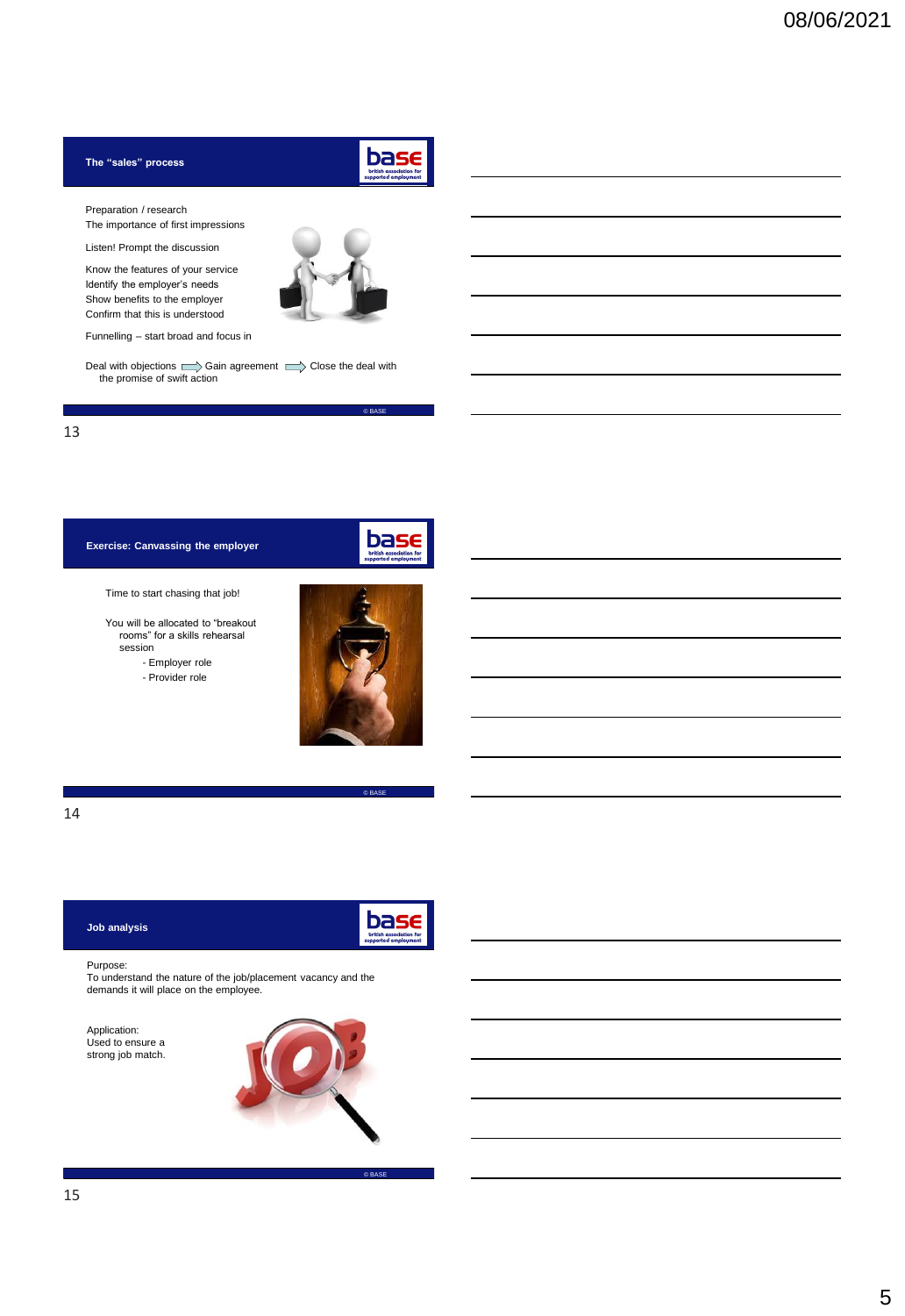## **The "sales" process**



 $\overline{\otimes}$  BASE

base

Preparation / research

The importance of first impressions

Listen! Prompt the discussion

Know the features of your service Identify the employer's needs Show benefits to the employer Confirm that this is understood



Funnelling – start broad and focus in

Deal with objections  $\Rightarrow$  Gain agreement  $\Rightarrow$  Close the deal with the promise of swift action



## **Exercise: Canvassing the employer**

Time to start chasing that job!

You will be allocated to "breakout rooms" for a skills rehearsal session

- Employer role

- Provider role



© BASE

## 14

#### **Job analysis**



© BASE

#### Purpose:

To understand the nature of the job/placement vacancy and the demands it will place on the employee.

Application: Used to ensure a strong job match.

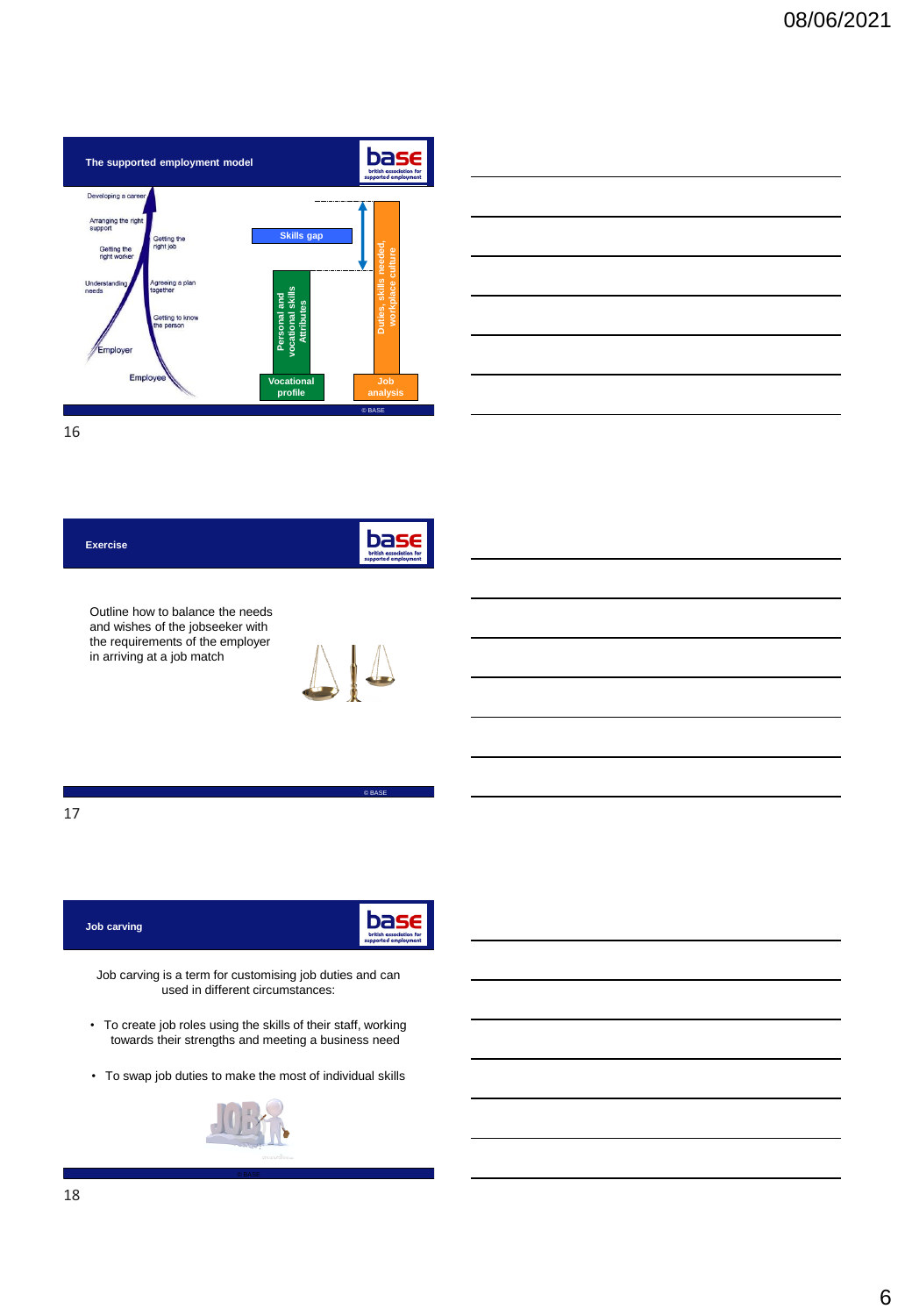



16

# bas **Exercise**

Outline how to balance the needs and wishes of the jobseeker with the requirements of the employer in arriving at a job match



© BASE

17

| Job carving | base<br>british association for<br>supported employment |
|-------------|---------------------------------------------------------|
|             |                                                         |

Job carving is a term for customising job duties and can used in different circumstances:

- To create job roles using the skills of their staff, working towards their strengths and meeting a business need
- To swap job duties to make the most of individual skills